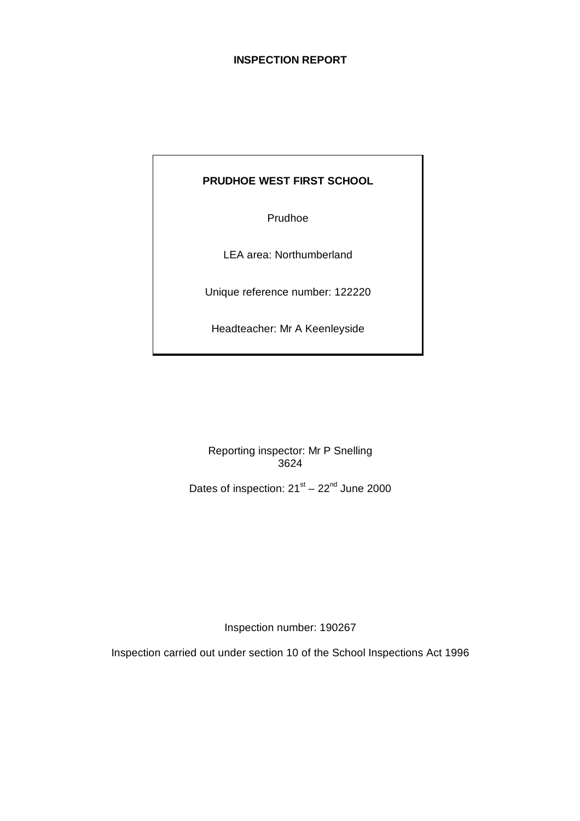# **INSPECTION REPORT**

## **PRUDHOE WEST FIRST SCHOOL**

Prudhoe

LEA area: Northumberland

Unique reference number: 122220

Headteacher: Mr A Keenleyside

Reporting inspector: Mr P Snelling 3624

Dates of inspection:  $21^{st} - 22^{nd}$  June 2000

Inspection number: 190267

Inspection carried out under section 10 of the School Inspections Act 1996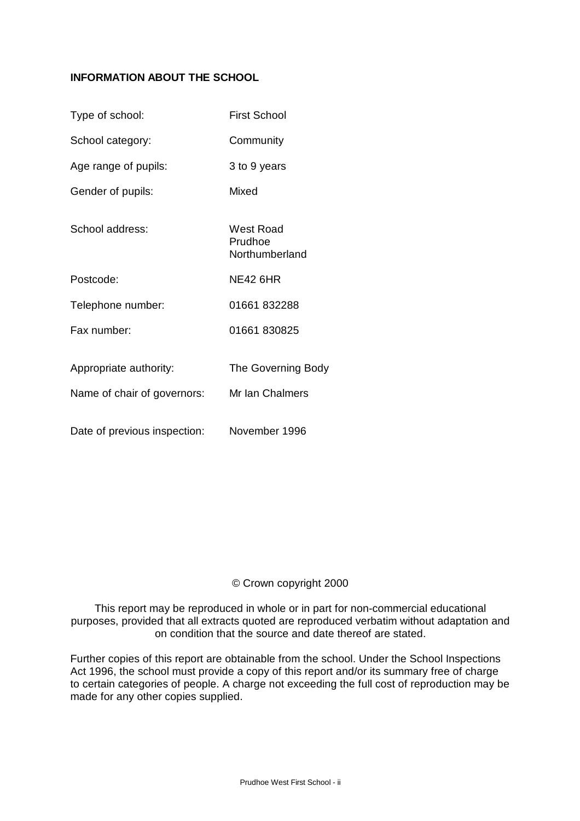## **INFORMATION ABOUT THE SCHOOL**

| Type of school:                                       | <b>First School</b>                          |
|-------------------------------------------------------|----------------------------------------------|
| School category:                                      | Community                                    |
| Age range of pupils:                                  | 3 to 9 years                                 |
| Gender of pupils:                                     | Mixed                                        |
| School address:                                       | West Road<br>Prudhoe<br>Northumberland       |
| Postcode:                                             | <b>NE42 6HR</b>                              |
| Telephone number:                                     | 01661832288                                  |
| Fax number:                                           | 01661 830825                                 |
| Appropriate authority:<br>Name of chair of governors: | <b>The Governing Body</b><br>Mr Ian Chalmers |
| Date of previous inspection:                          | November 1996                                |

## © Crown copyright 2000

This report may be reproduced in whole or in part for non-commercial educational purposes, provided that all extracts quoted are reproduced verbatim without adaptation and on condition that the source and date thereof are stated.

Further copies of this report are obtainable from the school. Under the School Inspections Act 1996, the school must provide a copy of this report and/or its summary free of charge to certain categories of people. A charge not exceeding the full cost of reproduction may be made for any other copies supplied.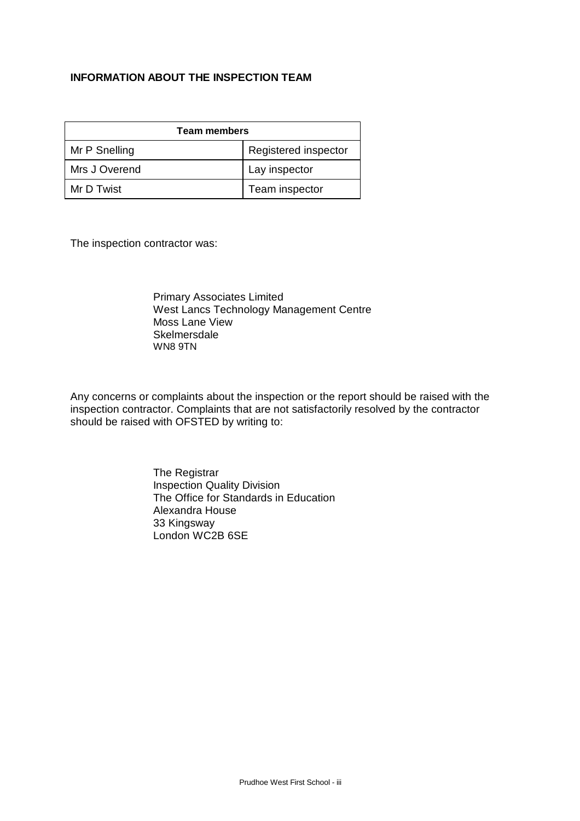## **INFORMATION ABOUT THE INSPECTION TEAM**

| <b>Team members</b> |                      |  |  |
|---------------------|----------------------|--|--|
| Mr P Snelling       | Registered inspector |  |  |
| Mrs J Overend       | Lay inspector        |  |  |
| Mr D Twist          | Team inspector       |  |  |

The inspection contractor was:

Primary Associates Limited West Lancs Technology Management Centre Moss Lane View **Skelmersdale** WN8 9TN

Any concerns or complaints about the inspection or the report should be raised with the inspection contractor. Complaints that are not satisfactorily resolved by the contractor should be raised with OFSTED by writing to:

> The Registrar Inspection Quality Division The Office for Standards in Education Alexandra House 33 Kingsway London WC2B 6SE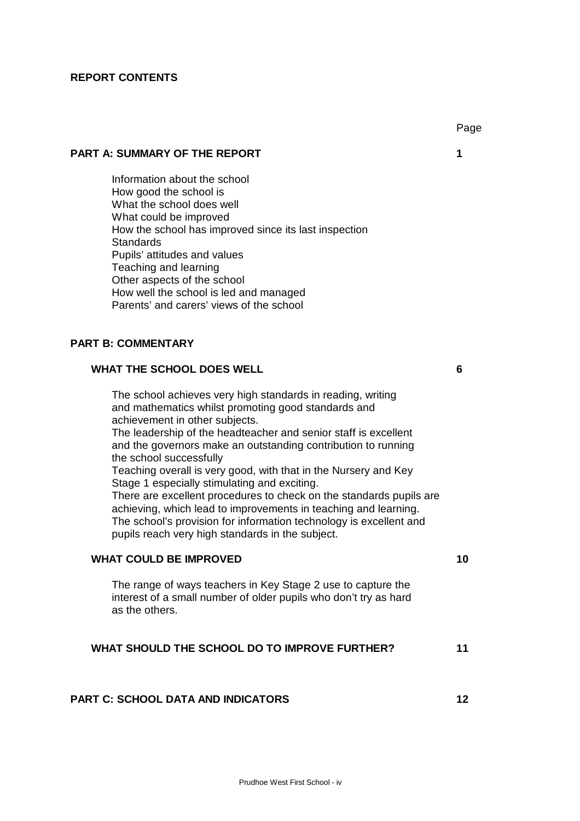#### **REPORT CONTENTS**

#### **PART A: SUMMARY OF THE REPORT 1**

Information about the school How good the school is What the school does well What could be improved How the school has improved since its last inspection **Standards** Pupils' attitudes and values Teaching and learning Other aspects of the school How well the school is led and managed Parents' and carers' views of the school

### **PART B: COMMENTARY**

## **WHAT THE SCHOOL DOES WELL 6**

The school achieves very high standards in reading, writing and mathematics whilst promoting good standards and achievement in other subjects. The leadership of the headteacher and senior staff is excellent and the governors make an outstanding contribution to running the school successfully Teaching overall is very good, with that in the Nursery and Key Stage 1 especially stimulating and exciting.

There are excellent procedures to check on the standards pupils are achieving, which lead to improvements in teaching and learning. The school's provision for information technology is excellent and pupils reach very high standards in the subject.

#### **WHAT COULD BE IMPROVED 10**

The range of ways teachers in Key Stage 2 use to capture the interest of a small number of older pupils who don't try as hard as the others.

# **WHAT SHOULD THE SCHOOL DO TO IMPROVE FURTHER? 11**

## **PART C: SCHOOL DATA AND INDICATORS 12**

Page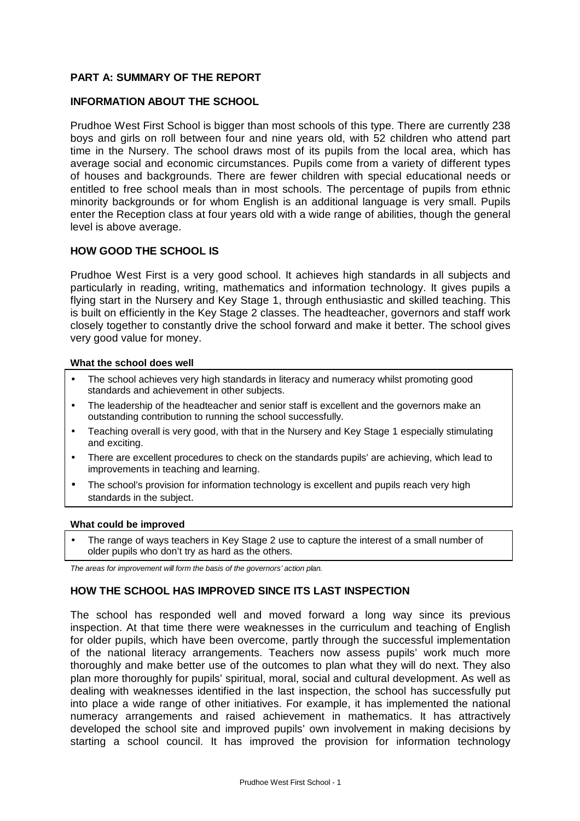## **PART A: SUMMARY OF THE REPORT**

#### **INFORMATION ABOUT THE SCHOOL**

Prudhoe West First School is bigger than most schools of this type. There are currently 238 boys and girls on roll between four and nine years old, with 52 children who attend part time in the Nursery. The school draws most of its pupils from the local area, which has average social and economic circumstances. Pupils come from a variety of different types of houses and backgrounds. There are fewer children with special educational needs or entitled to free school meals than in most schools. The percentage of pupils from ethnic minority backgrounds or for whom English is an additional language is very small. Pupils enter the Reception class at four years old with a wide range of abilities, though the general level is above average.

## **HOW GOOD THE SCHOOL IS**

Prudhoe West First is a very good school. It achieves high standards in all subjects and particularly in reading, writing, mathematics and information technology. It gives pupils a flying start in the Nursery and Key Stage 1, through enthusiastic and skilled teaching. This is built on efficiently in the Key Stage 2 classes. The headteacher, governors and staff work closely together to constantly drive the school forward and make it better. The school gives very good value for money.

#### **What the school does well**

- The school achieves very high standards in literacy and numeracy whilst promoting good standards and achievement in other subjects.
- The leadership of the headteacher and senior staff is excellent and the governors make an outstanding contribution to running the school successfully.
- Teaching overall is very good, with that in the Nursery and Key Stage 1 especially stimulating and exciting.
- There are excellent procedures to check on the standards pupils' are achieving, which lead to improvements in teaching and learning.
- The school's provision for information technology is excellent and pupils reach very high standards in the subject.

#### **What could be improved**

• The range of ways teachers in Key Stage 2 use to capture the interest of a small number of older pupils who don't try as hard as the others.

*The areas for improvement will form the basis of the governors' action plan.*

## **HOW THE SCHOOL HAS IMPROVED SINCE ITS LAST INSPECTION**

The school has responded well and moved forward a long way since its previous inspection. At that time there were weaknesses in the curriculum and teaching of English for older pupils, which have been overcome, partly through the successful implementation of the national literacy arrangements. Teachers now assess pupils' work much more thoroughly and make better use of the outcomes to plan what they will do next. They also plan more thoroughly for pupils' spiritual, moral, social and cultural development. As well as dealing with weaknesses identified in the last inspection, the school has successfully put into place a wide range of other initiatives. For example, it has implemented the national numeracy arrangements and raised achievement in mathematics. It has attractively developed the school site and improved pupils' own involvement in making decisions by starting a school council. It has improved the provision for information technology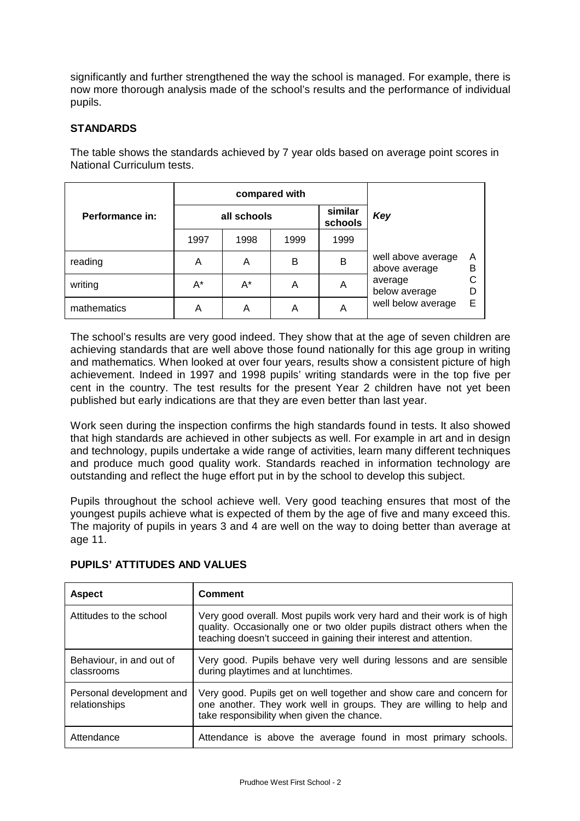significantly and further strengthened the way the school is managed. For example, there is now more thorough analysis made of the school's results and the performance of individual pupils.

## **STANDARDS**

|                 | compared with |      |      |                    |                                     |        |  |
|-----------------|---------------|------|------|--------------------|-------------------------------------|--------|--|
| Performance in: | all schools   |      |      | similar<br>schools | Key                                 |        |  |
|                 | 1997          | 1998 | 1999 | 1999               |                                     |        |  |
| reading         | Α             | Α    | В    | B                  | well above average<br>above average |        |  |
| writing         | A*            | A*   | A    | Α                  | average<br>below average            | С<br>D |  |
| mathematics     | Α             | Α    | Α    | Α                  | well below average                  | E      |  |

The table shows the standards achieved by 7 year olds based on average point scores in National Curriculum tests.

The school's results are very good indeed. They show that at the age of seven children are achieving standards that are well above those found nationally for this age group in writing and mathematics. When looked at over four years, results show a consistent picture of high achievement. Indeed in 1997 and 1998 pupils' writing standards were in the top five per cent in the country. The test results for the present Year 2 children have not yet been published but early indications are that they are even better than last year.

Work seen during the inspection confirms the high standards found in tests. It also showed that high standards are achieved in other subjects as well. For example in art and in design and technology, pupils undertake a wide range of activities, learn many different techniques and produce much good quality work. Standards reached in information technology are outstanding and reflect the huge effort put in by the school to develop this subject.

Pupils throughout the school achieve well. Very good teaching ensures that most of the youngest pupils achieve what is expected of them by the age of five and many exceed this. The majority of pupils in years 3 and 4 are well on the way to doing better than average at age 11.

| <b>Aspect</b>                             | Comment                                                                                                                                                                                                                |
|-------------------------------------------|------------------------------------------------------------------------------------------------------------------------------------------------------------------------------------------------------------------------|
| Attitudes to the school                   | Very good overall. Most pupils work very hard and their work is of high<br>quality. Occasionally one or two older pupils distract others when the<br>teaching doesn't succeed in gaining their interest and attention. |
| Behaviour, in and out of<br>classrooms    | Very good. Pupils behave very well during lessons and are sensible<br>during playtimes and at lunchtimes.                                                                                                              |
| Personal development and<br>relationships | Very good. Pupils get on well together and show care and concern for<br>one another. They work well in groups. They are willing to help and<br>take responsibility when given the chance.                              |
| Attendance                                | Attendance is above the average found in most primary schools.                                                                                                                                                         |

## **PUPILS' ATTITUDES AND VALUES**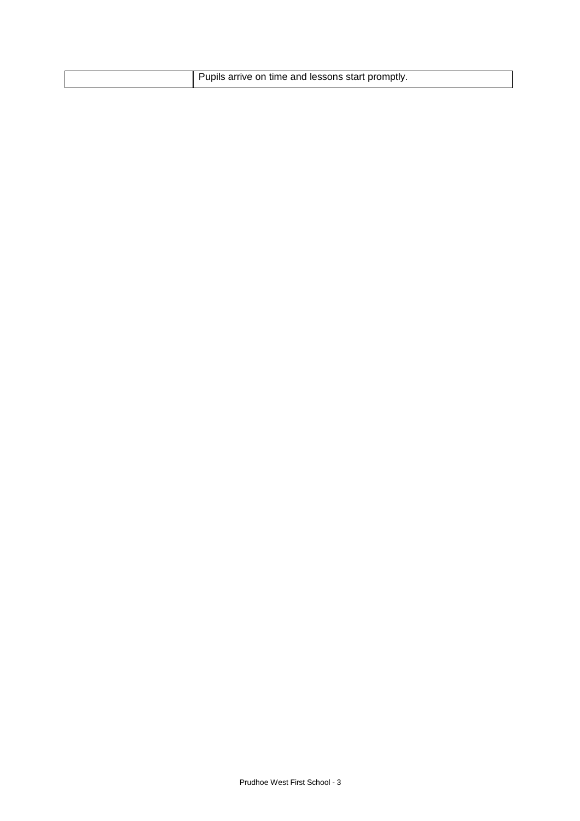| Pupils arrive on time and lessons start promptly. |
|---------------------------------------------------|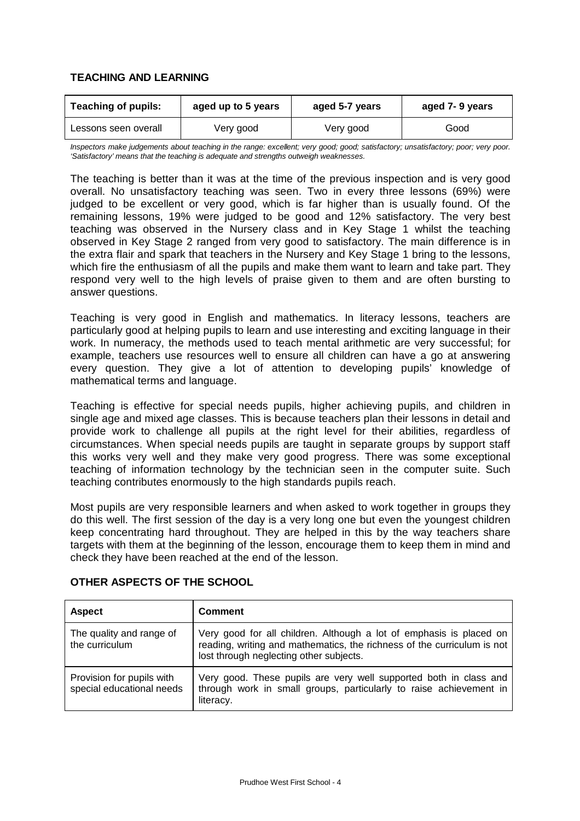## **TEACHING AND LEARNING**

| <b>Teaching of pupils:</b><br>aged up to 5 years |           | aged 5-7 years | aged 7-9 years |  |
|--------------------------------------------------|-----------|----------------|----------------|--|
| Lessons seen overall                             | Very good | Very good      | Good           |  |

*Inspectors make judgements about teaching in the range: excellent; very good; good; satisfactory; unsatisfactory; poor; very poor. 'Satisfactory' means that the teaching is adequate and strengths outweigh weaknesses.*

The teaching is better than it was at the time of the previous inspection and is very good overall. No unsatisfactory teaching was seen. Two in every three lessons (69%) were judged to be excellent or very good, which is far higher than is usually found. Of the remaining lessons, 19% were judged to be good and 12% satisfactory. The very best teaching was observed in the Nursery class and in Key Stage 1 whilst the teaching observed in Key Stage 2 ranged from very good to satisfactory. The main difference is in the extra flair and spark that teachers in the Nursery and Key Stage 1 bring to the lessons, which fire the enthusiasm of all the pupils and make them want to learn and take part. They respond very well to the high levels of praise given to them and are often bursting to answer questions.

Teaching is very good in English and mathematics. In literacy lessons, teachers are particularly good at helping pupils to learn and use interesting and exciting language in their work. In numeracy, the methods used to teach mental arithmetic are very successful; for example, teachers use resources well to ensure all children can have a go at answering every question. They give a lot of attention to developing pupils' knowledge of mathematical terms and language.

Teaching is effective for special needs pupils, higher achieving pupils, and children in single age and mixed age classes. This is because teachers plan their lessons in detail and provide work to challenge all pupils at the right level for their abilities, regardless of circumstances. When special needs pupils are taught in separate groups by support staff this works very well and they make very good progress. There was some exceptional teaching of information technology by the technician seen in the computer suite. Such teaching contributes enormously to the high standards pupils reach.

Most pupils are very responsible learners and when asked to work together in groups they do this well. The first session of the day is a very long one but even the youngest children keep concentrating hard throughout. They are helped in this by the way teachers share targets with them at the beginning of the lesson, encourage them to keep them in mind and check they have been reached at the end of the lesson.

| <b>Aspect</b>                                          | <b>Comment</b>                                                                                                                                                                            |
|--------------------------------------------------------|-------------------------------------------------------------------------------------------------------------------------------------------------------------------------------------------|
| The quality and range of<br>the curriculum             | Very good for all children. Although a lot of emphasis is placed on<br>reading, writing and mathematics, the richness of the curriculum is not<br>lost through neglecting other subjects. |
| Provision for pupils with<br>special educational needs | Very good. These pupils are very well supported both in class and<br>through work in small groups, particularly to raise achievement in<br>literacy.                                      |

## **OTHER ASPECTS OF THE SCHOOL**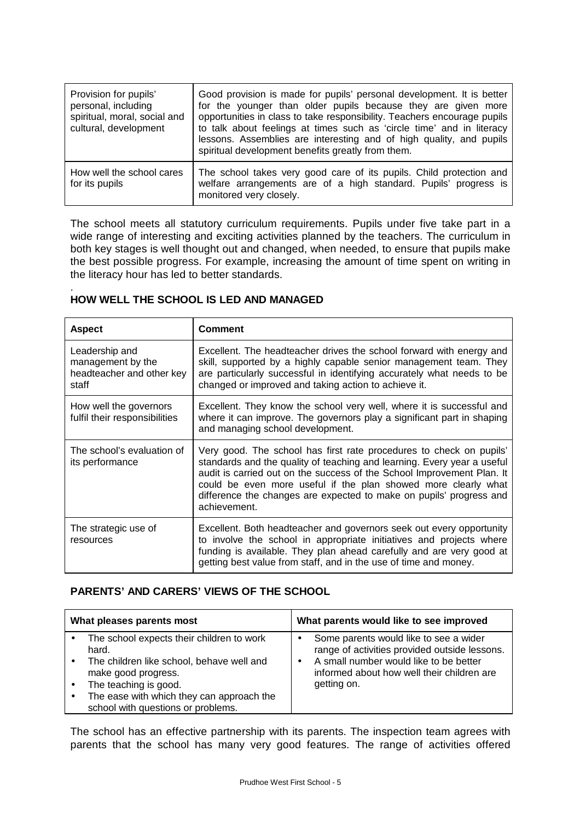| Provision for pupils'<br>personal, including<br>spiritual, moral, social and<br>cultural, development | Good provision is made for pupils' personal development. It is better<br>for the younger than older pupils because they are given more<br>opportunities in class to take responsibility. Teachers encourage pupils<br>to talk about feelings at times such as 'circle time' and in literacy<br>lessons. Assemblies are interesting and of high quality, and pupils<br>spiritual development benefits greatly from them. |
|-------------------------------------------------------------------------------------------------------|-------------------------------------------------------------------------------------------------------------------------------------------------------------------------------------------------------------------------------------------------------------------------------------------------------------------------------------------------------------------------------------------------------------------------|
| How well the school cares<br>for its pupils                                                           | The school takes very good care of its pupils. Child protection and<br>welfare arrangements are of a high standard. Pupils' progress is<br>monitored very closely.                                                                                                                                                                                                                                                      |

The school meets all statutory curriculum requirements. Pupils under five take part in a wide range of interesting and exciting activities planned by the teachers. The curriculum in both key stages is well thought out and changed, when needed, to ensure that pupils make the best possible progress. For example, increasing the amount of time spent on writing in the literacy hour has led to better standards.

#### . **HOW WELL THE SCHOOL IS LED AND MANAGED**

| <b>Aspect</b>                                                             | <b>Comment</b>                                                                                                                                                                                                                                                                                                                                                                    |
|---------------------------------------------------------------------------|-----------------------------------------------------------------------------------------------------------------------------------------------------------------------------------------------------------------------------------------------------------------------------------------------------------------------------------------------------------------------------------|
| Leadership and<br>management by the<br>headteacher and other key<br>staff | Excellent. The headteacher drives the school forward with energy and<br>skill, supported by a highly capable senior management team. They<br>are particularly successful in identifying accurately what needs to be<br>changed or improved and taking action to achieve it.                                                                                                       |
| How well the governors<br>fulfil their responsibilities                   | Excellent. They know the school very well, where it is successful and<br>where it can improve. The governors play a significant part in shaping<br>and managing school development.                                                                                                                                                                                               |
| The school's evaluation of<br>its performance                             | Very good. The school has first rate procedures to check on pupils'<br>standards and the quality of teaching and learning. Every year a useful<br>audit is carried out on the success of the School Improvement Plan. It<br>could be even more useful if the plan showed more clearly what<br>difference the changes are expected to make on pupils' progress and<br>achievement. |
| The strategic use of<br>resources                                         | Excellent. Both headteacher and governors seek out every opportunity<br>to involve the school in appropriate initiatives and projects where<br>funding is available. They plan ahead carefully and are very good at<br>getting best value from staff, and in the use of time and money.                                                                                           |

## **PARENTS' AND CARERS' VIEWS OF THE SCHOOL**

| What pleases parents most                                                                                                                                                                                                          | What parents would like to see improved                                                                                                                                                        |  |  |
|------------------------------------------------------------------------------------------------------------------------------------------------------------------------------------------------------------------------------------|------------------------------------------------------------------------------------------------------------------------------------------------------------------------------------------------|--|--|
| The school expects their children to work<br>hard.<br>The children like school, behave well and<br>make good progress.<br>The teaching is good.<br>The ease with which they can approach the<br>school with questions or problems. | Some parents would like to see a wider<br>range of activities provided outside lessons.<br>A small number would like to be better<br>informed about how well their children are<br>getting on. |  |  |

The school has an effective partnership with its parents. The inspection team agrees with parents that the school has many very good features. The range of activities offered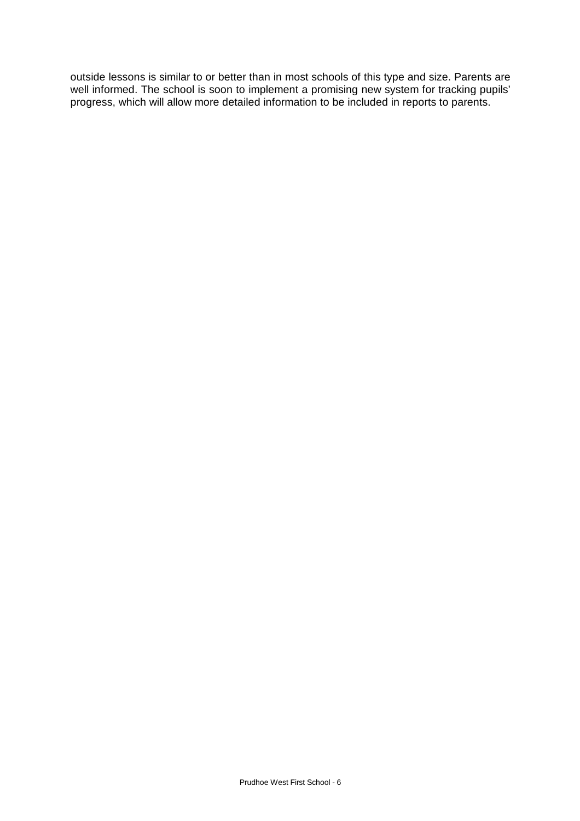outside lessons is similar to or better than in most schools of this type and size. Parents are well informed. The school is soon to implement a promising new system for tracking pupils' progress, which will allow more detailed information to be included in reports to parents.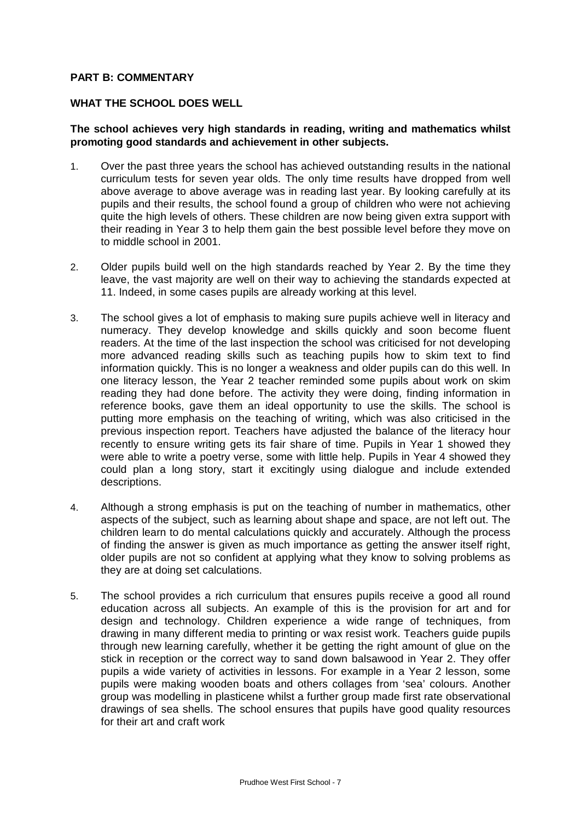#### **PART B: COMMENTARY**

#### **WHAT THE SCHOOL DOES WELL**

#### **The school achieves very high standards in reading, writing and mathematics whilst promoting good standards and achievement in other subjects.**

- 1. Over the past three years the school has achieved outstanding results in the national curriculum tests for seven year olds. The only time results have dropped from well above average to above average was in reading last year. By looking carefully at its pupils and their results, the school found a group of children who were not achieving quite the high levels of others. These children are now being given extra support with their reading in Year 3 to help them gain the best possible level before they move on to middle school in 2001.
- 2. Older pupils build well on the high standards reached by Year 2. By the time they leave, the vast majority are well on their way to achieving the standards expected at 11. Indeed, in some cases pupils are already working at this level.
- 3. The school gives a lot of emphasis to making sure pupils achieve well in literacy and numeracy. They develop knowledge and skills quickly and soon become fluent readers. At the time of the last inspection the school was criticised for not developing more advanced reading skills such as teaching pupils how to skim text to find information quickly. This is no longer a weakness and older pupils can do this well. In one literacy lesson, the Year 2 teacher reminded some pupils about work on skim reading they had done before. The activity they were doing, finding information in reference books, gave them an ideal opportunity to use the skills. The school is putting more emphasis on the teaching of writing, which was also criticised in the previous inspection report. Teachers have adjusted the balance of the literacy hour recently to ensure writing gets its fair share of time. Pupils in Year 1 showed they were able to write a poetry verse, some with little help. Pupils in Year 4 showed they could plan a long story, start it excitingly using dialogue and include extended descriptions.
- 4. Although a strong emphasis is put on the teaching of number in mathematics, other aspects of the subject, such as learning about shape and space, are not left out. The children learn to do mental calculations quickly and accurately. Although the process of finding the answer is given as much importance as getting the answer itself right, older pupils are not so confident at applying what they know to solving problems as they are at doing set calculations.
- 5. The school provides a rich curriculum that ensures pupils receive a good all round education across all subjects. An example of this is the provision for art and for design and technology. Children experience a wide range of techniques, from drawing in many different media to printing or wax resist work. Teachers guide pupils through new learning carefully, whether it be getting the right amount of glue on the stick in reception or the correct way to sand down balsawood in Year 2. They offer pupils a wide variety of activities in lessons. For example in a Year 2 lesson, some pupils were making wooden boats and others collages from 'sea' colours. Another group was modelling in plasticene whilst a further group made first rate observational drawings of sea shells. The school ensures that pupils have good quality resources for their art and craft work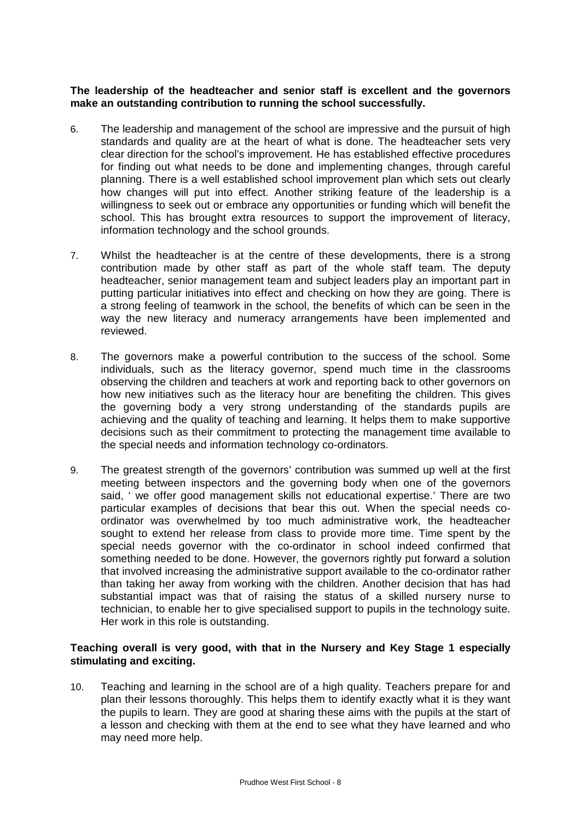**The leadership of the headteacher and senior staff is excellent and the governors make an outstanding contribution to running the school successfully.**

- 6. The leadership and management of the school are impressive and the pursuit of high standards and quality are at the heart of what is done. The headteacher sets very clear direction for the school's improvement. He has established effective procedures for finding out what needs to be done and implementing changes, through careful planning. There is a well established school improvement plan which sets out clearly how changes will put into effect. Another striking feature of the leadership is a willingness to seek out or embrace any opportunities or funding which will benefit the school. This has brought extra resources to support the improvement of literacy, information technology and the school grounds.
- 7. Whilst the headteacher is at the centre of these developments, there is a strong contribution made by other staff as part of the whole staff team. The deputy headteacher, senior management team and subject leaders play an important part in putting particular initiatives into effect and checking on how they are going. There is a strong feeling of teamwork in the school, the benefits of which can be seen in the way the new literacy and numeracy arrangements have been implemented and reviewed.
- 8. The governors make a powerful contribution to the success of the school. Some individuals, such as the literacy governor, spend much time in the classrooms observing the children and teachers at work and reporting back to other governors on how new initiatives such as the literacy hour are benefiting the children. This gives the governing body a very strong understanding of the standards pupils are achieving and the quality of teaching and learning. It helps them to make supportive decisions such as their commitment to protecting the management time available to the special needs and information technology co-ordinators.
- 9. The greatest strength of the governors' contribution was summed up well at the first meeting between inspectors and the governing body when one of the governors said, ' we offer good management skills not educational expertise.' There are two particular examples of decisions that bear this out. When the special needs coordinator was overwhelmed by too much administrative work, the headteacher sought to extend her release from class to provide more time. Time spent by the special needs governor with the co-ordinator in school indeed confirmed that something needed to be done. However, the governors rightly put forward a solution that involved increasing the administrative support available to the co-ordinator rather than taking her away from working with the children. Another decision that has had substantial impact was that of raising the status of a skilled nursery nurse to technician, to enable her to give specialised support to pupils in the technology suite. Her work in this role is outstanding.

## **Teaching overall is very good, with that in the Nursery and Key Stage 1 especially stimulating and exciting.**

10. Teaching and learning in the school are of a high quality. Teachers prepare for and plan their lessons thoroughly. This helps them to identify exactly what it is they want the pupils to learn. They are good at sharing these aims with the pupils at the start of a lesson and checking with them at the end to see what they have learned and who may need more help.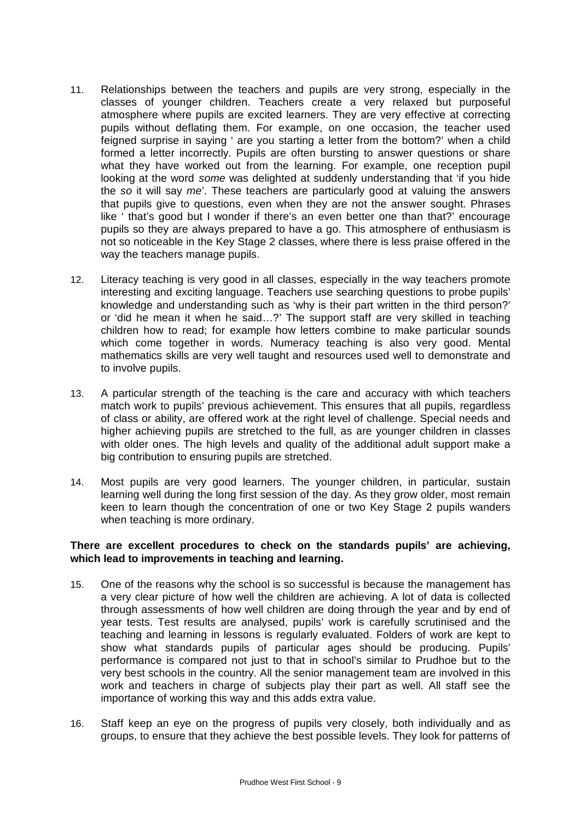- 11. Relationships between the teachers and pupils are very strong, especially in the classes of younger children. Teachers create a very relaxed but purposeful atmosphere where pupils are excited learners. They are very effective at correcting pupils without deflating them. For example, on one occasion, the teacher used feigned surprise in saying ' are you starting a letter from the bottom?' when a child formed a letter incorrectly. Pupils are often bursting to answer questions or share what they have worked out from the learning. For example, one reception pupil looking at the word *some* was delighted at suddenly understanding that 'if you hide the *so* it will say *me*'. These teachers are particularly good at valuing the answers that pupils give to questions, even when they are not the answer sought. Phrases like ' that's good but I wonder if there's an even better one than that?' encourage pupils so they are always prepared to have a go. This atmosphere of enthusiasm is not so noticeable in the Key Stage 2 classes, where there is less praise offered in the way the teachers manage pupils.
- 12. Literacy teaching is very good in all classes, especially in the way teachers promote interesting and exciting language. Teachers use searching questions to probe pupils' knowledge and understanding such as 'why is their part written in the third person?' or 'did he mean it when he said… ?' The support staff are very skilled in teaching children how to read; for example how letters combine to make particular sounds which come together in words. Numeracy teaching is also very good. Mental mathematics skills are very well taught and resources used well to demonstrate and to involve pupils.
- 13. A particular strength of the teaching is the care and accuracy with which teachers match work to pupils' previous achievement. This ensures that all pupils, regardless of class or ability, are offered work at the right level of challenge. Special needs and higher achieving pupils are stretched to the full, as are younger children in classes with older ones. The high levels and quality of the additional adult support make a big contribution to ensuring pupils are stretched.
- 14. Most pupils are very good learners. The younger children, in particular, sustain learning well during the long first session of the day. As they grow older, most remain keen to learn though the concentration of one or two Key Stage 2 pupils wanders when teaching is more ordinary.

## **There are excellent procedures to check on the standards pupils' are achieving, which lead to improvements in teaching and learning.**

- 15. One of the reasons why the school is so successful is because the management has a very clear picture of how well the children are achieving. A lot of data is collected through assessments of how well children are doing through the year and by end of year tests. Test results are analysed, pupils' work is carefully scrutinised and the teaching and learning in lessons is regularly evaluated. Folders of work are kept to show what standards pupils of particular ages should be producing. Pupils' performance is compared not just to that in school's similar to Prudhoe but to the very best schools in the country. All the senior management team are involved in this work and teachers in charge of subjects play their part as well. All staff see the importance of working this way and this adds extra value.
- 16. Staff keep an eye on the progress of pupils very closely, both individually and as groups, to ensure that they achieve the best possible levels. They look for patterns of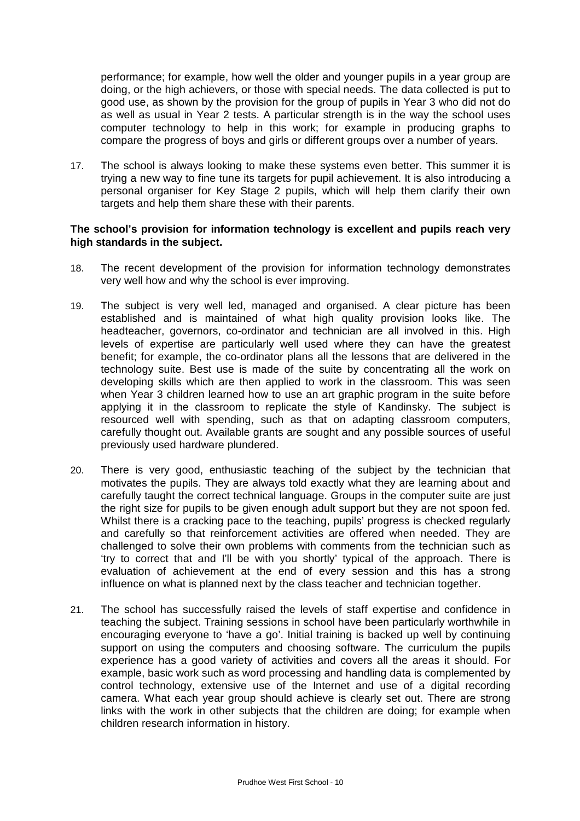performance; for example, how well the older and younger pupils in a year group are doing, or the high achievers, or those with special needs. The data collected is put to good use, as shown by the provision for the group of pupils in Year 3 who did not do as well as usual in Year 2 tests. A particular strength is in the way the school uses computer technology to help in this work; for example in producing graphs to compare the progress of boys and girls or different groups over a number of years.

17. The school is always looking to make these systems even better. This summer it is trying a new way to fine tune its targets for pupil achievement. It is also introducing a personal organiser for Key Stage 2 pupils, which will help them clarify their own targets and help them share these with their parents.

#### **The school's provision for information technology is excellent and pupils reach very high standards in the subject.**

- 18. The recent development of the provision for information technology demonstrates very well how and why the school is ever improving.
- 19. The subject is very well led, managed and organised. A clear picture has been established and is maintained of what high quality provision looks like. The headteacher, governors, co-ordinator and technician are all involved in this. High levels of expertise are particularly well used where they can have the greatest benefit; for example, the co-ordinator plans all the lessons that are delivered in the technology suite. Best use is made of the suite by concentrating all the work on developing skills which are then applied to work in the classroom. This was seen when Year 3 children learned how to use an art graphic program in the suite before applying it in the classroom to replicate the style of Kandinsky. The subject is resourced well with spending, such as that on adapting classroom computers, carefully thought out. Available grants are sought and any possible sources of useful previously used hardware plundered.
- 20. There is very good, enthusiastic teaching of the subject by the technician that motivates the pupils. They are always told exactly what they are learning about and carefully taught the correct technical language. Groups in the computer suite are just the right size for pupils to be given enough adult support but they are not spoon fed. Whilst there is a cracking pace to the teaching, pupils' progress is checked regularly and carefully so that reinforcement activities are offered when needed. They are challenged to solve their own problems with comments from the technician such as 'try to correct that and I'll be with you shortly' typical of the approach. There is evaluation of achievement at the end of every session and this has a strong influence on what is planned next by the class teacher and technician together.
- 21. The school has successfully raised the levels of staff expertise and confidence in teaching the subject. Training sessions in school have been particularly worthwhile in encouraging everyone to 'have a go'. Initial training is backed up well by continuing support on using the computers and choosing software. The curriculum the pupils experience has a good variety of activities and covers all the areas it should. For example, basic work such as word processing and handling data is complemented by control technology, extensive use of the Internet and use of a digital recording camera. What each year group should achieve is clearly set out. There are strong links with the work in other subjects that the children are doing; for example when children research information in history.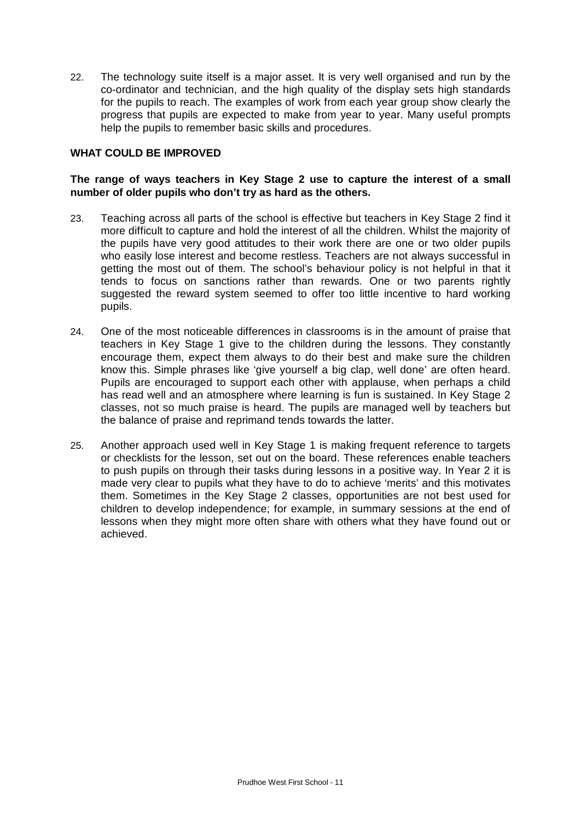22. The technology suite itself is a major asset. It is very well organised and run by the co-ordinator and technician, and the high quality of the display sets high standards for the pupils to reach. The examples of work from each year group show clearly the progress that pupils are expected to make from year to year. Many useful prompts help the pupils to remember basic skills and procedures.

#### **WHAT COULD BE IMPROVED**

## **The range of ways teachers in Key Stage 2 use to capture the interest of a small number of older pupils who don't try as hard as the others.**

- 23. Teaching across all parts of the school is effective but teachers in Key Stage 2 find it more difficult to capture and hold the interest of all the children. Whilst the majority of the pupils have very good attitudes to their work there are one or two older pupils who easily lose interest and become restless. Teachers are not always successful in getting the most out of them. The school's behaviour policy is not helpful in that it tends to focus on sanctions rather than rewards. One or two parents rightly suggested the reward system seemed to offer too little incentive to hard working pupils.
- 24. One of the most noticeable differences in classrooms is in the amount of praise that teachers in Key Stage 1 give to the children during the lessons. They constantly encourage them, expect them always to do their best and make sure the children know this. Simple phrases like 'give yourself a big clap, well done' are often heard. Pupils are encouraged to support each other with applause, when perhaps a child has read well and an atmosphere where learning is fun is sustained. In Key Stage 2 classes, not so much praise is heard. The pupils are managed well by teachers but the balance of praise and reprimand tends towards the latter.
- 25. Another approach used well in Key Stage 1 is making frequent reference to targets or checklists for the lesson, set out on the board. These references enable teachers to push pupils on through their tasks during lessons in a positive way. In Year 2 it is made very clear to pupils what they have to do to achieve 'merits' and this motivates them. Sometimes in the Key Stage 2 classes, opportunities are not best used for children to develop independence; for example, in summary sessions at the end of lessons when they might more often share with others what they have found out or achieved.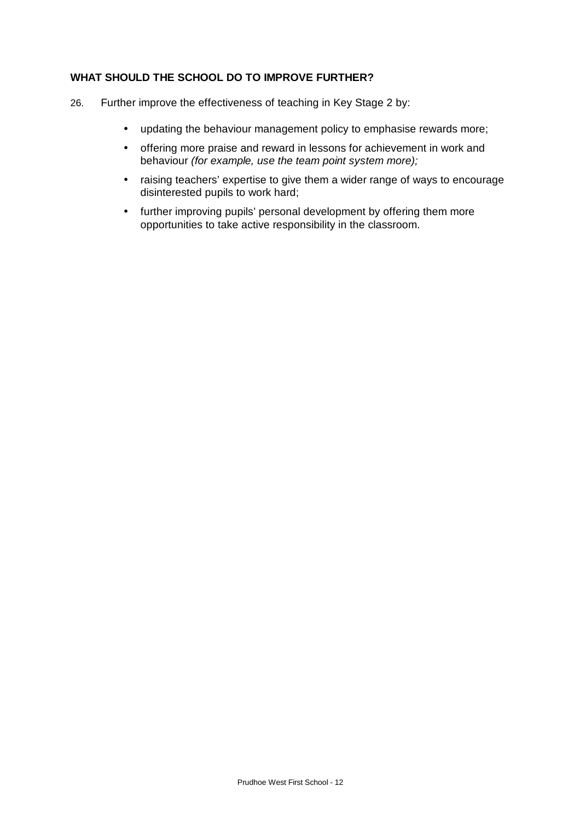## **WHAT SHOULD THE SCHOOL DO TO IMPROVE FURTHER?**

- 26. Further improve the effectiveness of teaching in Key Stage 2 by:
	- updating the behaviour management policy to emphasise rewards more;
	- offering more praise and reward in lessons for achievement in work and behaviour *(for example, use the team point system more);*
	- raising teachers' expertise to give them a wider range of ways to encourage disinterested pupils to work hard;
	- further improving pupils' personal development by offering them more opportunities to take active responsibility in the classroom.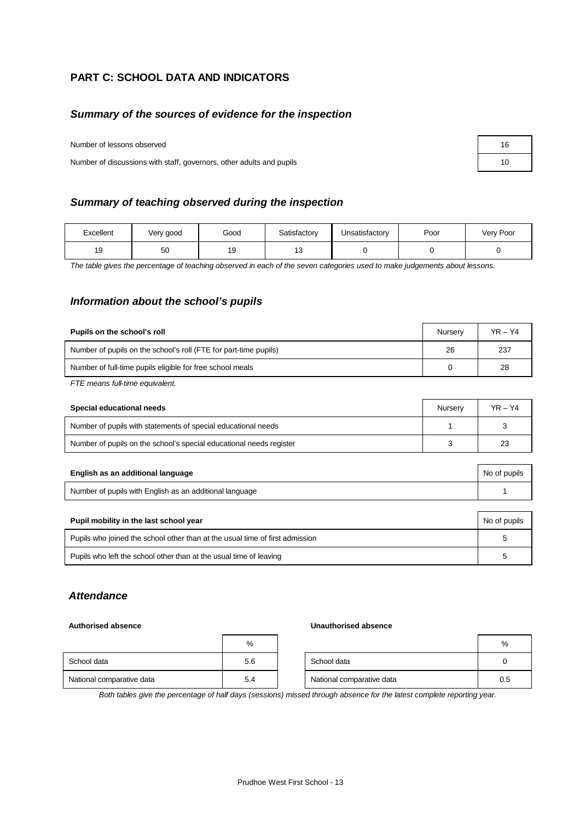## **PART C: SCHOOL DATA AND INDICATORS**

#### *Summary of the sources of evidence for the inspection*

Number of lessons observed

Number of discussions with staff, governors, other adults and pupils

#### *Summary of teaching observed during the inspection*

| Excellent | Very good | Good | Satisfactory | Unsatisfactory | Poor | Very Poor |
|-----------|-----------|------|--------------|----------------|------|-----------|
| 19        | 50        | 19   | $\sim$       |                |      |           |

*The table gives the percentage of teaching observed in each of the seven categories used to make judgements about lessons.*

#### *Information about the school's pupils*

| Pupils on the school's roll                                      | Nurserv | $YR - Y4$ |
|------------------------------------------------------------------|---------|-----------|
| Number of pupils on the school's roll (FTE for part-time pupils) | 26      | 237       |
| Number of full-time pupils eligible for free school meals        |         | 28        |
|                                                                  |         |           |

*FTE means full-time equivalent.*

| Special educational needs                                           | Nurserv | $YR - Y4$ |
|---------------------------------------------------------------------|---------|-----------|
| Number of pupils with statements of special educational needs       |         |           |
| Number of pupils on the school's special educational needs register |         | 23        |

| English as an additional language                       | No of pupils |
|---------------------------------------------------------|--------------|
| Number of pupils with English as an additional language |              |

| Pupil mobility in the last school year                                       | No of pupils |
|------------------------------------------------------------------------------|--------------|
| Pupils who joined the school other than at the usual time of first admission |              |
| Pupils who left the school other than at the usual time of leaving           |              |

## *Attendance*

#### **Authorised absence Unauthorised absence**

|                           | %   |                           | $\frac{0}{0}$ |
|---------------------------|-----|---------------------------|---------------|
| School data               | 5.6 | School data               |               |
| National comparative data | 5.4 | National comparative data | 0.5           |

*Both tables give the percentage of half days (sessions) missed through absence for the latest complete reporting year.*

| 16 |  |
|----|--|
| 10 |  |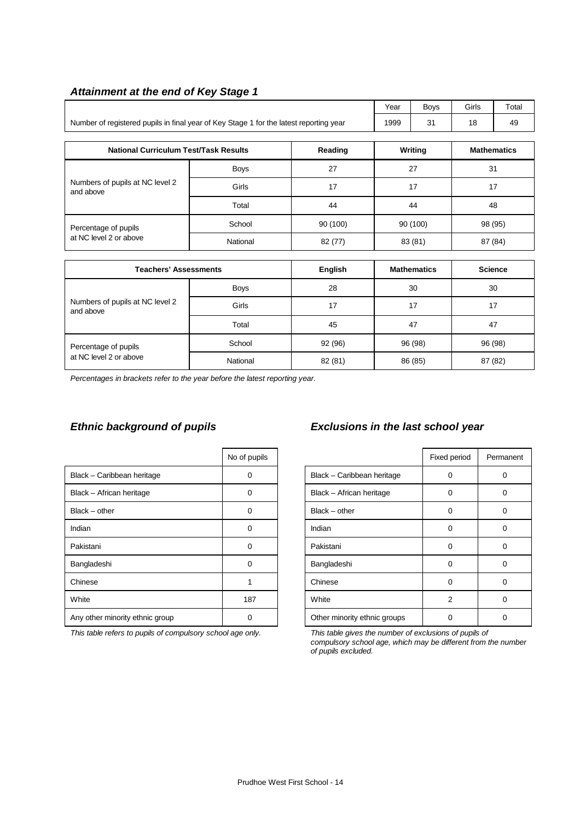| $\frac{1}{2}$                                                                          |             |          |      |                    |       |                    |  |
|----------------------------------------------------------------------------------------|-------------|----------|------|--------------------|-------|--------------------|--|
|                                                                                        |             |          | Year | <b>Boys</b>        | Girls | Total              |  |
| Number of registered pupils in final year of Key Stage 1 for the latest reporting year |             |          | 1999 | 31                 | 18    | 49                 |  |
| <b>National Curriculum Test/Task Results</b><br>Reading                                |             |          |      | Writing            |       | <b>Mathematics</b> |  |
|                                                                                        | <b>Boys</b> | 27       |      | 27                 |       | 31                 |  |
| Numbers of pupils at NC level 2<br>and above                                           | Girls       | 17       |      | 17                 |       | 17                 |  |
|                                                                                        | Total       | 44       |      | 44                 |       | 48                 |  |
| Percentage of pupils                                                                   | School      | 90 (100) |      | 90 (100)           |       | 98 (95)            |  |
| at NC level 2 or above<br>National                                                     |             | 82 (77)  |      | 87 (84)<br>83 (81) |       |                    |  |
| <b>Englich</b><br>Science<br>Togchare' Accacemante<br><b>Mathomatics</b>               |             |          |      |                    |       |                    |  |

#### *Attainment at the end of Key Stage 1*

| <b>Teachers' Assessments</b>                 |             | English | <b>Mathematics</b> | <b>Science</b> |
|----------------------------------------------|-------------|---------|--------------------|----------------|
|                                              | <b>Boys</b> | 28      | 30                 | 30             |
| Numbers of pupils at NC level 2<br>and above | Girls       | 17      | 17                 | 17             |
|                                              | Total       | 45      | 47                 | 47             |
| Percentage of pupils                         | School      | 92 (96) | 96 (98)            | 96 (98)        |
| at NC level 2 or above                       | National    | 82 (81) | 86 (85)            | 87 (82)        |

*Percentages in brackets refer to the year before the latest reporting year.*

|                                 | No of pupils |                              | Fixed period | Perma    |
|---------------------------------|--------------|------------------------------|--------------|----------|
| Black - Caribbean heritage      | 0            | Black - Caribbean heritage   | 0            | $\Omega$ |
| Black - African heritage        | 0            | Black - African heritage     | 0            | 0        |
| Black – other                   | 0            | $Black - other$              | 0            | 0        |
| Indian                          | 0            | Indian                       | 0            | $\Omega$ |
| Pakistani                       | $\Omega$     | Pakistani                    | 0            | $\Omega$ |
| Bangladeshi                     | $\Omega$     | Bangladeshi                  | $\Omega$     | $\Omega$ |
| Chinese                         |              | Chinese                      | $\Omega$     | 0        |
| White                           | 187          | White                        | 2            | $\Omega$ |
| Any other minority ethnic group | 0            | Other minority ethnic groups | O            | $\Omega$ |

*This table refers to pupils of compulsory school age only. This table gives the number of exclusions of pupils of*

# *Ethnic background of pupils Exclusions in the last school year*

| No of pupils |                              | Fixed period   | Permanent |
|--------------|------------------------------|----------------|-----------|
| ი            | Black - Caribbean heritage   | 0              | O         |
| n            | Black - African heritage     | ∩              |           |
| O            | Black - other                | $\Omega$       |           |
| ი            | Indian                       | ∩              |           |
| ი            | Pakistani                    | 0              | O         |
| ŋ            | Bangladeshi                  | $\Omega$       | 0         |
|              | Chinese                      | $\Omega$       | O         |
| 187          | White                        | $\mathfrak{p}$ | 0         |
|              | Other minority ethnic groups |                |           |

*compulsory school age, which may be different from the number of pupils excluded.*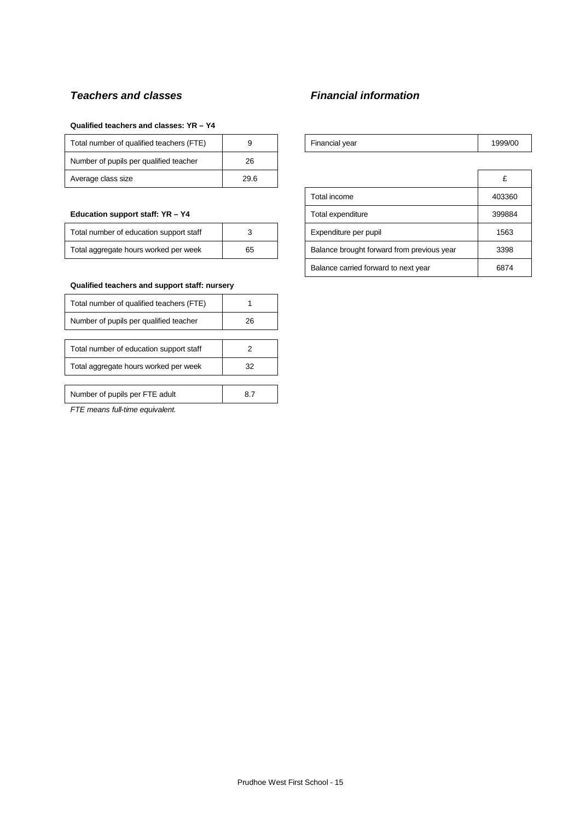# *Teachers and classes Financial information*

#### **Qualified teachers and classes: YR – Y4**

| Total number of qualified teachers (FTE) |      | Financial year | 1999 |
|------------------------------------------|------|----------------|------|
| Number of pupils per qualified teacher   | 26   |                |      |
| Average class size                       | 29.6 |                | c    |

#### **Education support staff: YR - Y4**

| Total number of education support staff |    |
|-----------------------------------------|----|
| Total aggregate hours worked per week   | 65 |

#### **Qualified teachers and support staff: nursery**

| Total number of qualified teachers (FTE) |     |
|------------------------------------------|-----|
| Number of pupils per qualified teacher   | 26  |
|                                          |     |
| Total number of education support staff  |     |
| Total aggregate hours worked per week    | 32  |
|                                          |     |
| Number of pupils per FTE adult           | 8.7 |
| .                                        |     |

*FTE means full-time equivalent.*

| Total number of qualified teachers (FTE) |    | Financial vear | 1999/00 |
|------------------------------------------|----|----------------|---------|
| Number of pupils per qualified teacher   | 26 |                |         |

| Average class size                      | 29.6 |  |                                            |        |
|-----------------------------------------|------|--|--------------------------------------------|--------|
|                                         |      |  | Total income                               | 403360 |
| Education support staff: YR - Y4        |      |  | Total expenditure                          | 399884 |
| Total number of education support staff |      |  | Expenditure per pupil                      | 1563   |
| Total aggregate hours worked per week   | 65   |  | Balance brought forward from previous year | 3398   |
|                                         |      |  | Balance carried forward to next year       | 6874   |